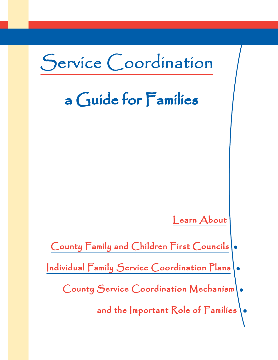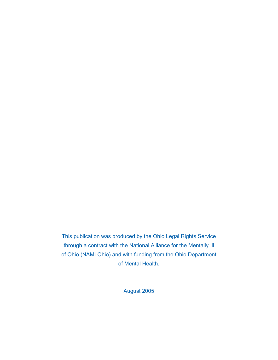This publication was produced by the Ohio Legal Rights Service through a contract with the National Alliance for the Mentally Ill of Ohio (NAMI Ohio) and with funding from the Ohio Department of Mental Health.

August 2005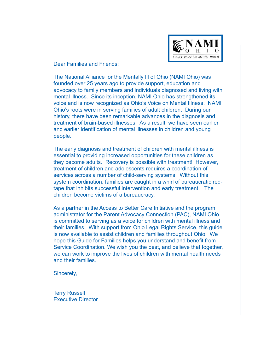

Dear Families and Friends:

The National Alliance for the Mentally Ill of Ohio (NAMI Ohio) was founded over 25 years ago to provide support, education and advocacy to family members and individuals diagnosed and living with mental illness. Since its inception, NAMI Ohio has strengthened its voice and is now recognized as Ohio's Voice on Mental Illness. NAMI Ohio's roots were in serving families of adult children. During our history, there have been remarkable advances in the diagnosis and treatment of brain-based illnesses. As a result, we have seen earlier and earlier identification of mental illnesses in children and young people.

The early diagnosis and treatment of children with mental illness is essential to providing increased opportunities for these children as they become adults. Recovery is possible with treatment! However, treatment of children and adolescents requires a coordination of services across a number of child-serving systems. Without this system coordination, families are caught in a whirl of bureaucratic redtape that inhibits successful intervention and early treatment. The children become victims of a bureaucracy.

As a partner in the Access to Better Care Initiative and the program administrator for the Parent Advocacy Connection (PAC), NAMI Ohio is committed to serving as a voice for children with mental illness and their families. With support from Ohio Legal Rights Service, this guide is now available to assist children and families throughout Ohio. We hope this Guide for Families helps you understand and benefit from Service Coordination. We wish you the best, and believe that together, we can work to improve the lives of children with mental health needs and their families.

Sincerely,

Terry Russell Executive Director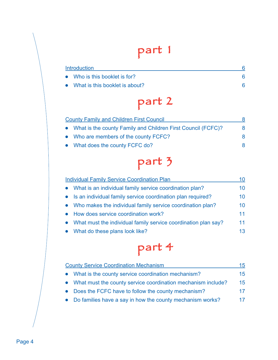# part 1

| <b>Introduction</b> |                                  |  |
|---------------------|----------------------------------|--|
|                     | • Who is this booklet is for?    |  |
|                     | • What is this booklet is about? |  |

# part 2

| <b>County Family and Children First Council</b>                |   |
|----------------------------------------------------------------|---|
| • What is the county Family and Children First Council (FCFC)? | 8 |
| • Who are members of the county FCFC?                          | 8 |
| • What does the county FCFC do?                                |   |

# part 3

| <b>Individual Family Service Coordination Plan</b>               |    |
|------------------------------------------------------------------|----|
| • What is an individual family service coordination plan?        | 10 |
| • Is an individual family service coordination plan required?    | 10 |
| • Who makes the individual family service coordination plan?     | 10 |
| • How does service coordination work?                            | 11 |
| • What must the individual family service coordination plan say? | 11 |
| • What do these plans look like?                                 | 13 |

# part 4

| <b>County Service Coordination Mechanism</b>                   |                 |
|----------------------------------------------------------------|-----------------|
| • What is the county service coordination mechanism?           | 15 <sub>1</sub> |
| • What must the county service coordination mechanism include? | 15 <sub>1</sub> |
| • Does the FCFC have to follow the county mechanism?           | 17 <sub>1</sub> |
| • Do families have a say in how the county mechanism works?    | 17              |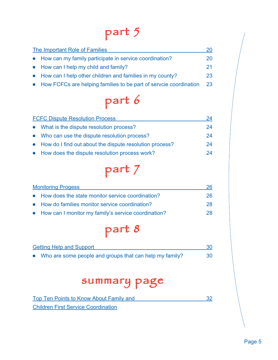# part 5

| The Important Role of Families                                      | 20 |
|---------------------------------------------------------------------|----|
| • How can my family participate in service coordination?            | 20 |
| • How can I help my child and family?                               | 21 |
| • How can I help other children and families in my county?          | 23 |
| • How FCFCs are helping families to be part of servoie coordination | 23 |

# part 6

| <b>FCFC Dispute Resolution Process</b> |                                                           | 24 |
|----------------------------------------|-----------------------------------------------------------|----|
|                                        | • What is the dispute resolution process?                 | 24 |
|                                        | • Who can use the dispute resolution process?             | 24 |
|                                        | • How do I find out about the dispute resolution process? | 24 |
|                                        | • How does the dispute resolution process work?           | 24 |

## part 7

| <b>Monitoring Progess</b>                             |    |
|-------------------------------------------------------|----|
| • How does the state monitor service coordination?    | 26 |
| • How do families monitor service coordination?       | 28 |
| • How can I monitor my family's service coordination? | 28 |

part 8

| <b>Getting Help and Support</b>                           |    |
|-----------------------------------------------------------|----|
| • Who are some people and groups that can help my family? | 30 |

### summary page

| Top Ten Points to Know About Family and    |  |
|--------------------------------------------|--|
| <b>Children First Service Coordination</b> |  |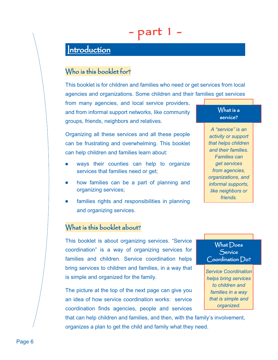### - part 1 -

### $|$ ntroduction

#### Who is this booklet for?

This booklet is for children and families who need or get services from local agencies and organizations. Some children and their families get services

from many agencies, and local service providers, and from informal support networks, like community groups, friends, neighbors and relatives.

Organizing all these services and all these people can be frustrating and overwhelming. This booklet can help children and families learn about:

- ways their counties can help to organize services that families need or get;
- how families can be a part of planning and organizing services;
- families rights and responsibilities in planning and organizing services.

#### What is a  $\,$ service?

*A "service" is an activity or support that helps children and their families. Families can get services from agencies, organizations, and informal supports, like neighbors or friends.*

#### What is this booklet about?

This booklet is about organizing services. "Service coordination" is a way of organizing services for families and children. Service coordination helps bring services to children and families, in a way that is simple and organized for the family.

The picture at the top of the next page can give you an idea of how service coordination works: service coordination finds agencies, people and services

that can help children and families, and then, with the family's involvement, organizes a plan to get the child and family what they need.



*Service Coordination helps bring services to children and families in a way that is simple and organized.*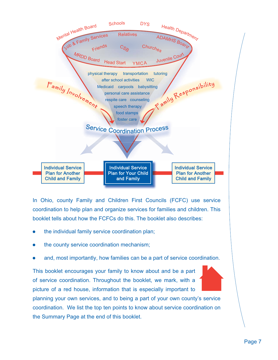

In Ohio, county Family and Children First Councils (FCFC) use service coordination to help plan and organize services for families and children. This booklet tells about how the FCFCs do this. The booklet also describes:

- the individual family service coordination plan;
- the county service coordination mechanism;
- and, most importantly, how families can be a part of service coordination.

This booklet encourages your family to know about and be a part of service coordination. Throughout the booklet, we mark, with a picture of a red house, information that is especially important to planning your own services, and to being a part of your own county's service coordination. We list the top ten points to know about service coordination on the Summary Page at the end of this booklet.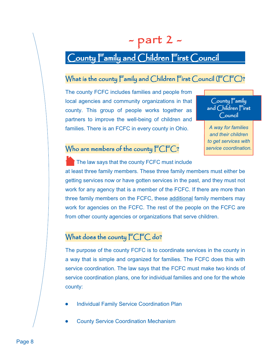## - part 2 -

### County Family and Children First Council

#### What is the county  $\mathsf F$ amily and Children  $\mathsf F$ irst Council ( $\mathsf F\mathsf{C}\mathsf F\mathsf{C}$ )?

The county FCFC includes families and people from local agencies and community organizations in that county. This group of people works together as partners to improve the well-being of children and families. There is an FCFC in every county in Ohio.



*A way for families and their children to get services with service coordination.*

#### Who are members of the county  $\mathsf{FCFC}$ ?

 The law says that the county FCFC must include at least three family members. These three family members must either be getting services now or have gotten services in the past, and they must not work for any agency that is a member of the FCFC. If there are more than three family members on the FCFC, these additional family members may work for agencies on the FCFC. The rest of the people on the FCFC are from other county agencies or organizations that serve children.

#### What does the county  $\mathsf{FCFC}$  do?

The purpose of the county FCFC is to coordinate services in the county in a way that is simple and organized for families. The FCFC does this with service coordination. The law says that the FCFC must make two kinds of service coordination plans, one for individual families and one for the whole county:

- Individual Family Service Coordination Plan
- County Service Coordination Mechanism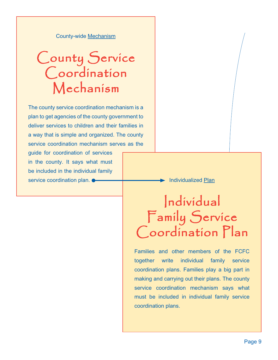County-wide Mechanism

## County Service Coordination Mechanism

 The county service coordination mechanism is a plan to get agencies of the county government to deliver services to children and their families in a way that is simple and organized. The county service coordination mechanism serves as the

guide for coordination of services in the county. It says what must be included in the individual family service coordination plan.  $\bullet$  **Individualized Plan** 

## Individual Family Service Coordination Plan

 Families and other members of the FCFC together write individual family service coordination plans. Families play a big part in making and carrying out their plans. The county service coordination mechanism says what must be included in individual family service coordination plans.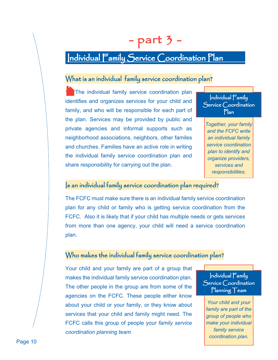## $-$  part 3  $-$

### Individual Family Service Coordination Plan

#### What is an individual family service coordination plan?

The individual family service coordination plan identifies and organizes services for your child and family, and who will be responsible for each part of the plan. Services may be provided by public and private agencies and informal supports such as neighborhood associations, neighbors, other familes and churches. Families have an active role in writing the individual family service coordination plan and share responsibility for carrying out the plan.

 $Individual Family$  $S$ ervice  $\bigcirc$ oordination Plan

*Together, your family and the FCFC write an individual family service coordination plan to identify and organize providers, services and responsibilities.*

#### $\vert$ s an individual family service coordination plan required?

The FCFC must make sure there is an individual family service coordination plan for any child or family who is getting service coordination from the FCFC. Also it is likely that if your child has multiple needs or gets services from more than one agency, your child will need a service coordination plan.

#### Who makes the individual family service coordination plan?

Your child and your family are part of a group that makes the individual family service coordination plan. The other people in the group are from some of the agencies on the FCFC. These people either know about your child or your family, or they know about services that your child and family might need. The FCFC calls this group of people your *family service coordination planning team*.

 $Individual Family$ Service Coordination  $\Gamma$ lanning  $\Gamma$ eam

*Your child and your family are part of the group of people who make your individual family service coordination plan.*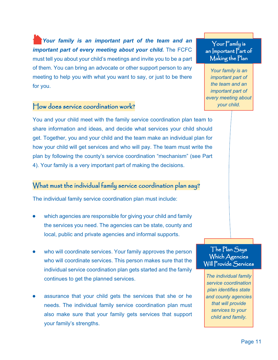*Your family is an important part of the team and an important part of every meeting about your child.* The FCFC must tell you about your child's meetings and invite you to be a part of them. You can bring an advocate or other support person to any meeting to help you with what you want to say, or just to be there for you.

#### $H$ ow does service coordination work?

You and your child meet with the family service coordination plan team to share information and ideas, and decide what services your child should get. Together, you and your child and the team make an individual plan for how your child will get services and who will pay. The team must write the plan by following the county's service coordination "mechanism" (see Part 4). Your family is a very important part of making the decisions.

#### What must the individual family service coordination plan say?

The individual family service coordination plan must include:

- which agencies are responsible for giving your child and family the services you need. The agencies can be state, county and local, public and private agencies and informal supports.
- who will coordinate services. Your family approves the person who will coordinate services. This person makes sure that the individual service coordination plan gets started and the family continues to get the planned services.
- assurance that your child gets the services that she or he needs. The individual family service coordination plan must also make sure that your family gets services that support your family's strengths.

 $\gamma$ our  $\bar{\Gamma}$ amily is an  $|$ mportant  $\overline{P}$ art of Making the Plan

*Your family is an important part of the team and an important part of every meeting about your child.*

The Plan Says Which Agencies Will Provide Services

*The individual family service coordination plan identifies state and county agencies that will provide services to your child and family.*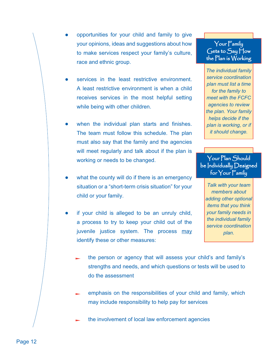- opportunities for your child and family to give your opinions, ideas and suggestions about how to make services respect your family's culture, race and ethnic group.
- services in the least restrictive environment. A least restrictive environment is when a child receives services in the most helpful setting while being with other children.
- when the individual plan starts and finishes. The team must follow this schedule. The plan must also say that the family and the agencies will meet regularly and talk about if the plan is working or needs to be changed.
- what the county will do if there is an emergency situation or a "short-term crisis situation" for your child or your family.
- if your child is alleged to be an unruly child, a process to try to keep your child out of the juvenile justice system. The process may identify these or other measures:

#### $Your Family$  $G$ ets to  $S$ ay  $H$ ow the  $Plan$  is  $W$ orking

*The individual family service coordination plan must list a time for the family to meet with the FCFC agencies to review the plan. Your family helps decide if the plan is working, or if it should change.*

Your Plan Should be Individually Designed for  $\gamma$ our  $\bar{\Gamma}$ amily

*Talk with your team members about adding other optional items that you think your family needs in the individual family service coordination plan.*

- the person or agency that will assess your child's and family's strengths and needs, and which questions or tests will be used to do the assessment
- emphasis on the responsibilities of your child and family, which may include responsibility to help pay for services
- the involvement of local law enforcement agencies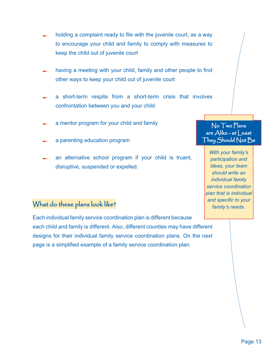- holding a complaint ready to file with the juvenile court, as a way to encourage your child and family to comply with measures to keep the child out of juvenile court
- having a meeting with your child, family and other people to find other ways to keep your child out of juvenile court
- a short-term respite from a short-term crisis that involves confrontation between you and your child
- a mentor program for your child and family
- a parenting education program
- an alternative school program if your child is truant, disruptive, suspended or expelled.

#### What do these plans look like?

Each individual family service coordination plan is different because each child and family is different. Also, different counties may have different designs for their individual family service coordination plans. On the next page is a simplified example of a family service coordination plan.

#### $No Two Plans$ are  $\overline{A}$ like - at  $\vert$  east They Should Not Be

*With your family's participation and ideas, your team should write an individual family service coordination plan that is individual and specific to your family's needs.*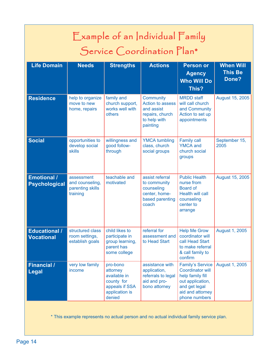| Example of an Individual Family<br>Service Coordination Plan*                            |                                                               |                                                                                                  |                                                                                            |                                                                                                                                                  |                                             |
|------------------------------------------------------------------------------------------|---------------------------------------------------------------|--------------------------------------------------------------------------------------------------|--------------------------------------------------------------------------------------------|--------------------------------------------------------------------------------------------------------------------------------------------------|---------------------------------------------|
| Life Domain                                                                              | <b>Needs</b>                                                  | <b>Strengths</b>                                                                                 | <b>Actions</b>                                                                             | <b>Person or</b><br><b>Agency</b><br><b>Who Will Do</b><br>This?                                                                                 | <b>When Will</b><br><b>This Be</b><br>Done? |
| <b>Residence</b>                                                                         | help to organize<br>move to new<br>home, repairs              | family and<br>church support,<br>works well with<br>others                                       | Community<br>Action to assess<br>and assist<br>repairs, church<br>to help with<br>painting | <b>MRDD</b> staff<br>will call church<br>and Community<br>Action to set up<br>appointments                                                       | August 15, 2005                             |
| <b>Social</b>                                                                            | opportunities to<br>develop social<br>skills                  | willingness and<br>good follow-<br>through                                                       | <b>YMCA tumbling</b><br>class, church<br>social groups                                     | <b>Family call</b><br><b>YMCA</b> and<br>church social<br>groups                                                                                 | September 15,<br>2005                       |
| <b>Emotional /</b><br><b>Psychological</b>                                               | assessment<br>and counseling,<br>parenting skills<br>training | teachable and<br>motivated                                                                       | assist referral<br>to community<br>counseling<br>center, home-<br>based parenting<br>coach | <b>Public Health</b><br>nurse from<br><b>Board of</b><br>Health will call<br>counseling<br>center to<br>arrange                                  | August 15, 2005                             |
| <b>Educational /</b><br><b>Vocational</b>                                                | structured class<br>room settings,<br>establish goals         | child likes to<br>participate in<br>group learning,<br>parent has<br>some college                | referral for<br>assessment and<br>to Head Start                                            | <b>Help Me Grow</b><br>coordinator will<br>call Head Start<br>to make referral<br>& call family to<br>confirm                                    | August 1, 2005                              |
| <b>Financial /</b><br>Legal                                                              | very low family<br>income                                     | pro-bono<br>attorney<br>available in<br>county for<br>appeals if SSA<br>application is<br>denied | assistance with<br>application,<br>referrals to legal<br>aid and pro-<br>bono attorney     | <b>Family's Service</b><br><b>Coordinator will</b><br>help family fill<br>out application,<br>and get legal<br>aid and attorney<br>phone numbers | August 1, 2005                              |
| * This example represents no actual person and no actual individual family service plan. |                                                               |                                                                                                  |                                                                                            |                                                                                                                                                  |                                             |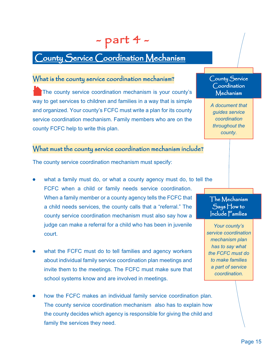### - part 4 -

### County Service Coordination Mechanism

#### What is the county service coordination mechanism?

The county service coordination mechanism is your county's way to get services to children and families in a way that is simple and organized. Your county's FCFC must write a plan for its county service coordination mechanism. Family members who are on the county FCFC help to write this plan.

#### What must the county service coordination mechanism include?

The county service coordination mechanism must specify:

- what a family must do, or what a county agency must do, to tell the FCFC when a child or family needs service coordination. When a family member or a county agency tells the FCFC that a child needs services, the county calls that a "referral." The county service coordination mechanism must also say how a judge can make a referral for a child who has been in juvenile court.
- what the FCFC must do to tell families and agency workers about individual family service coordination plan meetings and invite them to the meetings. The FCFC must make sure that school systems know and are involved in meetings.
- how the FCFC makes an individual family service coordination plan. The county service coordination mechanism also has to explain how the county decides which agency is responsible for giving the child and family the services they need.

#### County Service Coordination Mechanism

*A document that guides service coordination throughout the county.*

 $\Gamma$ he Mechanism  $S$ ays  $\bigcup$ ow to  $|$ nclude  $\overline{\Gamma}$ amilies

*Your county's service coordination mechanism plan has to say what the FCFC must do to make families a part of service coordination.*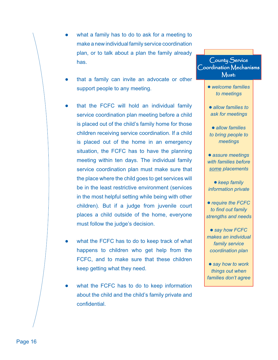- what a family has to do to ask for a meeting to make a new individual family service coordination plan, or to talk about a plan the family already has.
- that a family can invite an advocate or other support people to any meeting.
- that the FCFC will hold an individual family service coordination plan meeting before a child is placed out of the child's family home for those children receiving service coordination. If a child is placed out of the home in an emergency situation, the FCFC has to have the planning meeting within ten days. The individual family service coordination plan must make sure that the place where the child goes to get services will be in the least restrictive environment (services in the most helpful setting while being with other children). But if a judge from juvenile court places a child outside of the home, everyone must follow the judge's decision.
- what the FCFC has to do to keep track of what happens to children who get help from the FCFC, and to make sure that these children keep getting what they need.
- what the FCFC has to do to keep information about the child and the child's family private and confidential.

#### County Service  $\bigcirc$ oordination  $\bigwedge$ echanisms Must:

- *welcome families to meetings*
- *allow families to ask for meetings*
- *allow families to bring people to meetings*
- *assure meetings with families before some placements*
- *keep family information private*
- *require the FCFC to find out family strengths and needs*
- say how FCFC *makes an individual family service coordination plan*
- *say how to work things out when families don't agree*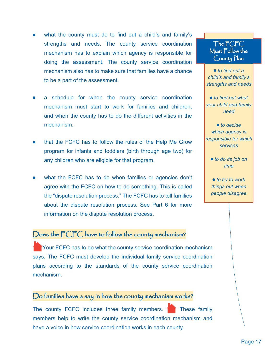#### Page 17

- what the county must do to find out a child's and family's strengths and needs. The county service coordination mechanism has to explain which agency is responsible for doing the assessment. The county service coordination mechanism also has to make sure that families have a chance to be a part of the assessment.
- a schedule for when the county service coordination mechanism must start to work for families and children, and when the county has to do the different activities in the mechanism.
- that the FCFC has to follow the rules of the Help Me Grow program for infants and toddlers (birth through age two) for any children who are eligible for that program.
- what the FCFC has to do when families or agencies don't agree with the FCFC on how to do something. This is called the "dispute resolution process." The FCFC has to tell families about the dispute resolution process. See Part 6 for more information on the dispute resolution process.

#### Does the FCFC have to follow the county mechanism?

Your FCFC has to do what the county service coordination mechanism says. The FCFC must develop the individual family service coordination plans according to the standards of the county service coordination mechanism.

#### $Do$  families have a say in how the county mechanism works?

The county FCFC includes three family members.  $\uparrow$  These family members help to write the county service coordination mechanism and have a voice in how service coordination works in each county.

#### The FCFC Must Follow the County Plan

 *to find out a child's and family's strengths and needs*

 *to find out what your child and family need*

● to decide *which agency is responsible for which services*

● *to do its job on time*

● *to try to work things out when people disagree*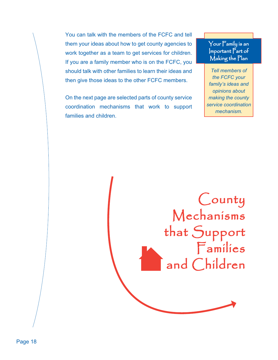You can talk with the members of the FCFC and tell them your ideas about how to get county agencies to work together as a team to get services for children. If you are a family member who is on the FCFC, you should talk with other families to learn their ideas and then give those ideas to the other FCFC members.

On the next page are selected parts of county service coordination mechanisms that work to support families and children.

Your  $\Gamma$ amily is an  $|$ mportant  $\overline{P}$ art of Making the Plan

*Tell members of the FCFC your family's ideas and opinions about making the county service coordination mechanism.*

County Mechanisms that Support  $F$ amilies and Children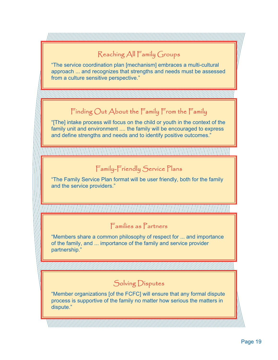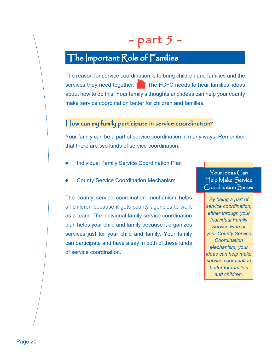## $-$  part 5  $-$

### The Important Role of Families

The reason for service coordination is to bring children and families and the services they need together.  $\uparrow$  The FCFC needs to hear families' ideas about how to do this. Your family's thoughts and ideas can help your county make service coordination better for children and families.

#### $\boldsymbol{\mathsf{H}}$ ow can my family participate in service coordination?

Your family can be a part of service coordination in many ways. Remember that there are two kinds of service coordination:

- Individual Family Service Coordination Plan
- County Service Coordination Mechanism

The county service coordination mechanism helps all children because it gets county agencies to work as a team. The individual family service coordination plan helps your child and family because it organizes services just for your child and family. Your family can participate and have a say in both of these kinds of service coordination.

Your  $\vert$ deas  $\bigcap$ an Help Make Service Coordination Better

*By being a part of service coordination, either through your Individual Family Service Plan or your County Service Coordination Mechanism, your ideas can help make service coordination better for families and children.*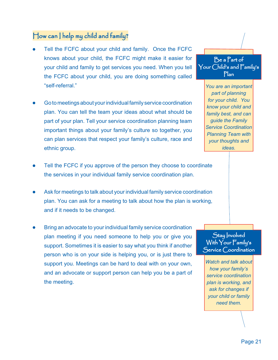#### $\Box$ ow can  $\Box$  help my child and family?

- Tell the FCFC about your child and family. Once the FCFC knows about your child, the FCFC might make it easier for your child and family to get services you need. When you tell the FCFC about your child, you are doing something called "self-referral."
- Go to meetings about your individual family service coordination plan. You can tell the team your ideas about what should be part of your plan. Tell your service coordination planning team important things about your family's culture so together, you can plan services that respect your family's culture, race and ethnic group.
- Tell the FCFC if you approve of the person they choose to coordinate the services in your individual family service coordination plan.
- Ask for meetings to talk about your individual family service coordination plan. You can ask for a meeting to talk about how the plan is working, and if it needs to be changed.
- Bring an advocate to your individual family service coordination plan meeting if you need someone to help you or give you support. Sometimes it is easier to say what you think if another person who is on your side is helping you, or is just there to support you. Meetings can be hard to deal with on your own, and an advocate or support person can help you be a part of the meeting.



*You are an important part of planning for your child. You know your child and family best, and can guide the Family Service Coordination Planning Team with your thoughts and ideas.*

#### Stay Involved With  $\gamma$ our  $\bar{\Gamma}$ amily's Service Coordination

*Watch and talk about how your family's service coordination plan is working, and ask for changes if your child or family need them.*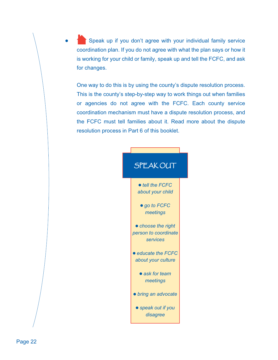Speak up if you don't agree with your individual family service coordination plan. If you do not agree with what the plan says or how it is working for your child or family, speak up and tell the FCFC, and ask for changes.

 One way to do this is by using the county's dispute resolution process. This is the county's step-by-step way to work things out when families or agencies do not agree with the FCFC. Each county service coordination mechanism must have a dispute resolution process, and the FCFC must tell families about it. Read more about the dispute resolution process in Part 6 of this booklet.

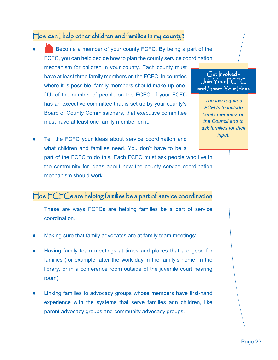#### $\Box$  dow can  $\Box$  help other children and families in my county?

 Become a member of your county FCFC. By being a part of the FCFC, you can help decide how to plan the county service coordination

mechanism for children in your county. Each county must have at least three family members on the FCFC. In counties where it is possible, family members should make up onefifth of the number of people on the FCFC. If your FCFC has an executive committee that is set up by your county's Board of County Commissioners, that executive committee must have at least one family member on it.

#### $G$ et  $|$ nvolved -Join Your FCFC and  $\mathop{\mathsf{Share}}\nolimits{\mathsf{Your}}$   $\mathop{\mathsf{deas}}\nolimits$

*The law requires FCFCs to include family members on the Council and to ask families for their input.*

 Tell the FCFC your ideas about service coordination and what children and families need. You don't have to be a part of the FCFC to do this. Each FCFC must ask people who live in the community for ideas about how the county service coordination mechanism should work.

#### $\bigcup$ ow  $\bigcap_{i=1}^n C_i$  are helping families be a part of service coordination

 These are ways FCFCs are helping families be a part of service coordination.

- Making sure that family advocates are at family team meetings;
- Having family team meetings at times and places that are good for families (for example, after the work day in the family's home, in the library, or in a conference room outside of the juvenile court hearing room);
- Linking families to advocacy groups whose members have first-hand experience with the systems that serve families adn children, like parent advocacy groups and community advocacy groups.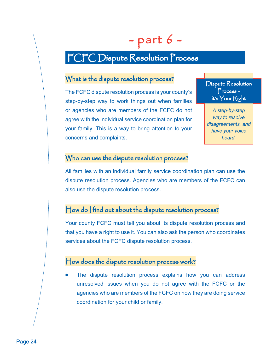# - part 6 -

### FCFC Dispute Resolution Process

#### What is the dispute resolution process?

The FCFC dispute resolution process is your county's step-by-step way to work things out when families or agencies who are members of the FCFC do not agree with the individual service coordination plan for your family. This is a way to bring attention to your concerns and complaints.

Dispute Resolution  $Process$ it's  $\forall$ our Right

*A step-by-step way to resolve disagreements, and have your voice heard.*

#### Who can use the dispute resolution process?

All families with an individual family service coordination plan can use the dispute resolution process. Agencies who are members of the FCFC can also use the dispute resolution process.

#### $\boldsymbol{\mathsf{H}}$ ow do  $\boldsymbol{\mathsf{I}}$  find out about the dispute resolution process?

Your county FCFC must tell you about its dispute resolution process and that you have a right to use it. You can also ask the person who coordinates services about the FCFC dispute resolution process.

#### $\boldsymbol{\vdash}$  low does the dispute resolution process work?

 The dispute resolution process explains how you can address unresolved issues when you do not agree with the FCFC or the agencies who are members of the FCFC on how they are doing service coordination for your child or family.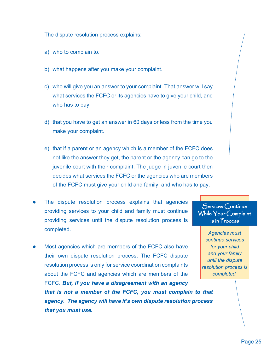The dispute resolution process explains:

- a) who to complain to.
- b) what happens after you make your complaint.
- c) who will give you an answer to your complaint. That answer will say what services the FCFC or its agencies have to give your child, and who has to pay.
- d) that you have to get an answer in 60 days or less from the time you make your complaint.
- e) that if a parent or an agency which is a member of the FCFC does not like the answer they get, the parent or the agency can go to the juvenile court with their complaint. The judge in juvenile court then decides what services the FCFC or the agencies who are members of the FCFC must give your child and family, and who has to pay.
- The dispute resolution process explains that agencies providing services to your child and family must continue providing services until the dispute resolution process is completed.
- Most agencies which are members of the FCFC also have their own dispute resolution process. The FCFC dispute resolution process is only for service coordination complaints about the FCFC and agencies which are members of the FCFC. *But, if you have a disagreement with an agency that is not a member of the FCFC, you must complain to that agency. The agency will have it's own dispute resolution process that you must use.*

 $S$ ervices  $C$ ontinue While Your Complaint  $is in Process$ 

*Agencies must continue services for your child and your family until the dispute resolution process is completed.*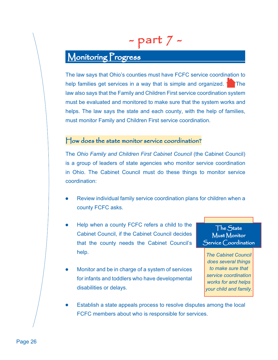## - part 7 -

### Monitoring Progress

The law says that Ohio's counties must have FCFC service coordination to help families get services in a way that is simple and organized.  $\blacksquare$  The law also says that the Family and Children First service coordination system must be evaluated and monitored to make sure that the system works and helps. The law says the state and each county, with the help of families, must monitor Family and Children First service coordination.

#### $\mathsf{How}\,\mathsf{does}\,\mathsf{the}\,\mathsf{state}\,\mathsf{monitor}\,\mathsf{service}\,\mathsf{coordination?}$

The *Ohio Family and Children First Cabinet Council* (the Cabinet Council) is a group of leaders of state agencies who monitor service coordination in Ohio. The Cabinet Council must do these things to monitor service coordination:

- Review individual family service coordination plans for children when a county FCFC asks.
- Help when a county FCFC refers a child to the Cabinet Council, if the Cabinet Council decides that the county needs the Cabinet Council's help.
- The State Must Monitor  $S$ ervice  $C$ oordination
- Monitor and be in charge of a system of services for infants and toddlers who have developmental disabilities or delays.

*The Cabinet Council does several things to make sure that service coordination works for and helps your child and family.*

 Establish a state appeals process to resolve disputes among the local FCFC members about who is responsible for services.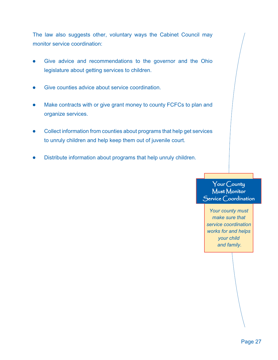The law also suggests other, voluntary ways the Cabinet Council may monitor service coordination:

- Give advice and recommendations to the governor and the Ohio legislature about getting services to children.
- Give counties advice about service coordination.
- Make contracts with or give grant money to county FCFCs to plan and organize services.
- Collect information from counties about programs that help get services to unruly children and help keep them out of juvenile court.
- Distribute information about programs that help unruly children.

#### Your County Must Monitor Service Coordination

*Your county must make sure that service coordination works for and helps your child and family.*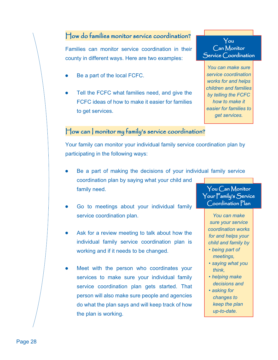Families can monitor service coordination in their county in different ways. Here are two examples:

- Be a part of the local FCFC.
- Tell the FCFC what families need, and give the FCFC ideas of how to make it easier for families to get services.



*You can make sure service coordination works for and helps children and families by telling the FCFC how to make it easier for families to get services.*

#### $\boldsymbol{\mathcal{F}}$  ow can  $\boldsymbol{\mathcal{F}}$  monitor my family's service coordination?

Your family can monitor your individual family service coordination plan by participating in the following ways:

- Be a part of making the decisions of your individual family service coordination plan by saying what your child and family need. You Can Monitor
- Go to meetings about your individual family service coordination plan.
- Ask for a review meeting to talk about how the individual family service coordination plan is working and if it needs to be changed.
- Meet with the person who coordinates your services to make sure your individual family service coordination plan gets started. That person will also make sure people and agencies do what the plan says and will keep track of how the plan is working.

 $\gamma$ our  $\mathsf{F}$ amily's  $\mathsf{S}$ ervice Coordination Plan

> *You can make sure your service coordination works for and helps your child and family by*

- *being part of meetings,*
- *saying what you think,*
- *helping make decisions and*
- *asking for changes to keep the plan up-to-date.*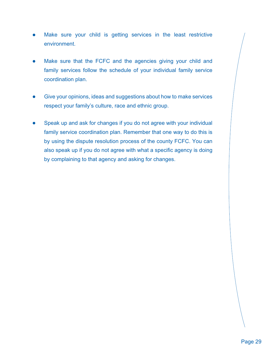- Make sure your child is getting services in the least restrictive environment.
- Make sure that the FCFC and the agencies giving your child and family services follow the schedule of your individual family service coordination plan.
- Give your opinions, ideas and suggestions about how to make services respect your family's culture, race and ethnic group.
- Speak up and ask for changes if you do not agree with your individual family service coordination plan. Remember that one way to do this is by using the dispute resolution process of the county FCFC. You can also speak up if you do not agree with what a specific agency is doing by complaining to that agency and asking for changes.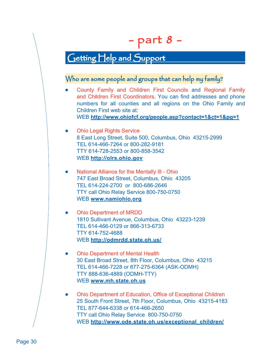## - part 8 -

### Getting Help and Support

#### Who are some people and groups that can help my family?

County Family and Children First Councils and Regional Family and Children First Coordinators. You can find addresses and phone numbers for all counties and all regions on the Ohio Family and Children First web site at: WEB **http://www.ohiofcf.org/people.asp?contact=1&ct=1&pg=1**

#### **Ohio Legal Rights Service**  8 East Long Street, Suite 500, Columbus, Ohio 43215-2999 TEL 614-466-7264 or 800-282-9181 TTY 614-728-2553 or 800-858-3542 WEB **http://olrs.ohio.gov**

National Alliance for the Mentally III - Ohio 747 East Broad Street, Columbus, Ohio 43205 TEL 614-224-2700 or 800-686-2646 TTY call Ohio Relay Service 800-750-0750 WEB **www.namiohio.org**

#### **Ohio Department of MRDD**  1810 Sullivant Avenue, Columbus, Ohio 43223-1239 TEL 614-466-0129 or 866-313-6733 TTY 614-752-4688 WEB **http://odmrdd.state.oh.us/**

- $\bullet$ **Ohio Department of Mental Health**  30 East Broad Street, 8th Floor, Columbus, Ohio 43215 TEL 614-466-7228 or 877-275-6364 (ASK-ODMH) TTY 888-636-4889 (ODMH-TTY) WEB **www.mh.state.oh.us**
- Ohio Department of Education, Office of Exceptional Children hio 25 South Front Street, 7th Floor, Columbus, Ohio 43215-4183 TEL 877-644-6338 or 614-466-2650 TTY call Ohio Relay Service 800-750-0750 WEB **http://www.ode.state.oh.us/exceptional\_children/**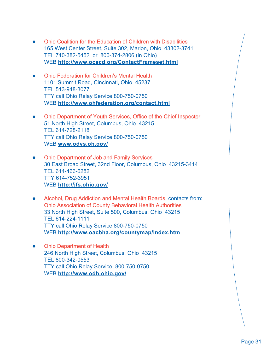- Ohio Coalition for the Education of Children with Disabilities hio  $\bullet$  165 West Center Street, Suite 302, Marion, Ohio 43302-3741 TEL 740-382-5452 or 800-374-2806 (in Ohio) WEB **http://www.ocecd.org/ContactFrameset.html**
- **Ohio Federation for Children's Mental Health**  1101 Summit Road, Cincinnati, Ohio 45237 TEL 513-948-3077 TTY call Ohio Relay Service 800-750-0750 WEB **http://www.ohfederation.org/contact.html**
- Ohio Department of Youth Services, Office of the Chief Inspector hio 51 North High Street, Columbus, Ohio 43215 TEL 614-728-2118 TTY call Ohio Relay Service 800-750-0750 WEB **www.odys.oh.gov/**
- Ohio Department of Job and Family Services hio  $\bullet$  30 East Broad Street, 32nd Floor, Columbus, Ohio 43215-3414 TEL 614-466-6282 TTY 614-752-3951 WEB **http://jfs.ohio.gov/**
- Alcohol, Drug Addiction and Mental Health Boards, contacts from:  $\bullet$ Ohio Association of County Behavioral Health Authorities hio 33 North High Street, Suite 500, Columbus, Ohio 43215 TEL 614-224-1111 TTY call Ohio Relay Service 800-750-0750 WEB **http://www.oacbha.org/countymap/index.htm**
- **Ohio Department of Health**  246 North High Street, Columbus, Ohio 43215 TEL 800-342-0553 TTY call Ohio Relay Service 800-750-0750 WEB **http://www.odh.ohio.gov/**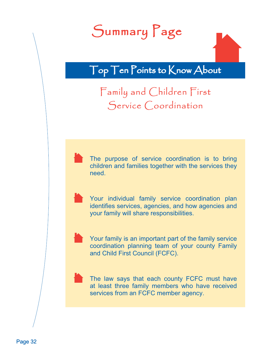# Summary Page

Top Ten Points to Know About

Family and Children First Service Coordination

 The purpose of service coordination is to bring children and families together with the services they need.

 Your individual family service coordination plan identifies services, agencies, and how agencies and your family will share responsibilities.



 Your family is an important part of the family service coordination planning team of your county Family and Child First Council (FCFC).



 The law says that each county FCFC must have at least three family members who have received services from an FCFC member agency.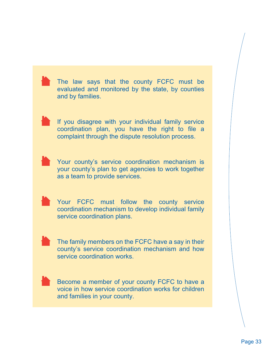The law says that the county FCFC must be evaluated and monitored by the state, by counties and by families. If you disagree with your individual family service coordination plan, you have the right to file a complaint through the dispute resolution process. Your county's service coordination mechanism is your county's plan to get agencies to work together as a team to provide services. Your FCFC must follow the county service coordination mechanism to develop individual family service coordination plans. The family members on the FCFC have a say in their county's service coordination mechanism and how service coordination works. Become a member of your county FCFC to have a voice in how service coordination works for children and families in your county.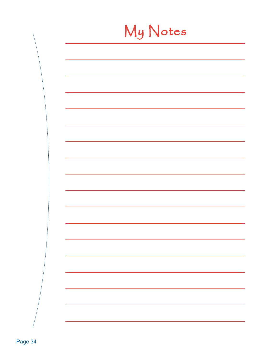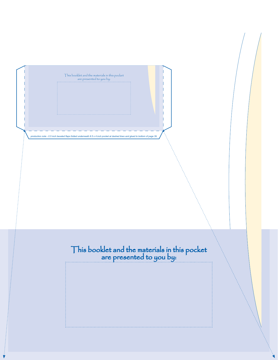